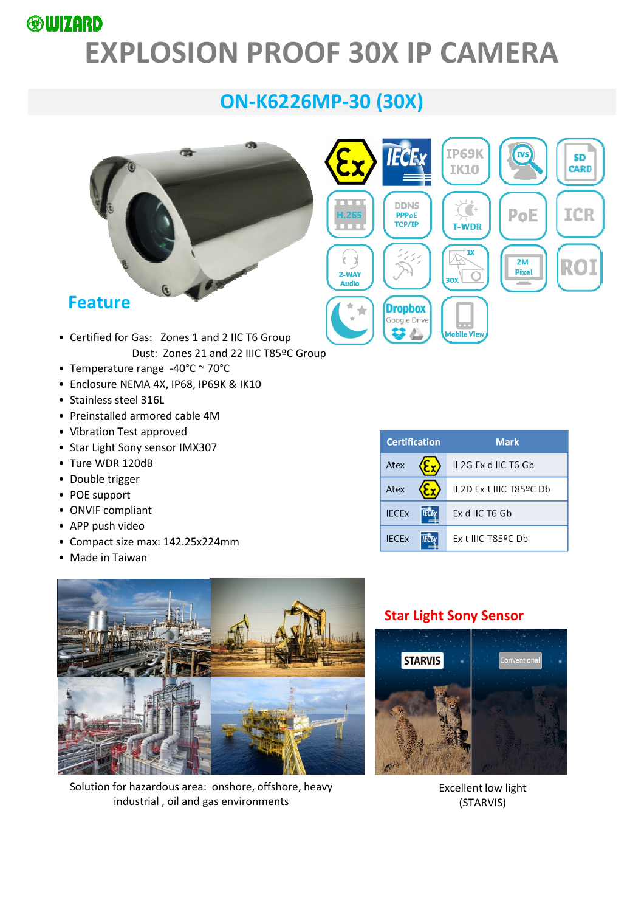### **®WIZARD**

# **EXPLOSION PROOF 30X IP CAMERA**

# **ON-K6226MP-30 (30X)**



- Certified for Gas: Zones 1 and 2 IIC T6 Group Dust: Zones 21 and 22 IIIC T85ºC Group
- Temperature range -40°C ~ 70°C
- Enclosure NEMA 4X, IP68, IP69K & IK10
- Stainless steel 316L
- Preinstalled armored cable 4M
- Vibration Test approved
- Star Light Sony sensor IMX307
- Ture WDR 120dB
- Double trigger
- POE support
- ONVIF compliant
- APP push video
- Compact size max: 142.25x224mm
- Made in Taiwan



Solution for hazardous area: onshore, offshore, heavy industrial , oil and gas environments

| <b>Certification</b> |  | <b>Mark</b>             |
|----------------------|--|-------------------------|
| Atex                 |  | $II$ 2G Ex d IIC T6 Gb  |
| Atex                 |  | IL2D Ex t IIIC T85ºC Db |
| <b>IECEX</b>         |  | Ex d IIC T6 Gb          |
| <b>IFCEx</b>         |  | $Ex$ t IIIC T85ºC Db    |

**SD** CARD

ICR

ROI

#### **Star Light Sony Sensor**



Excellent low light (STARVIS)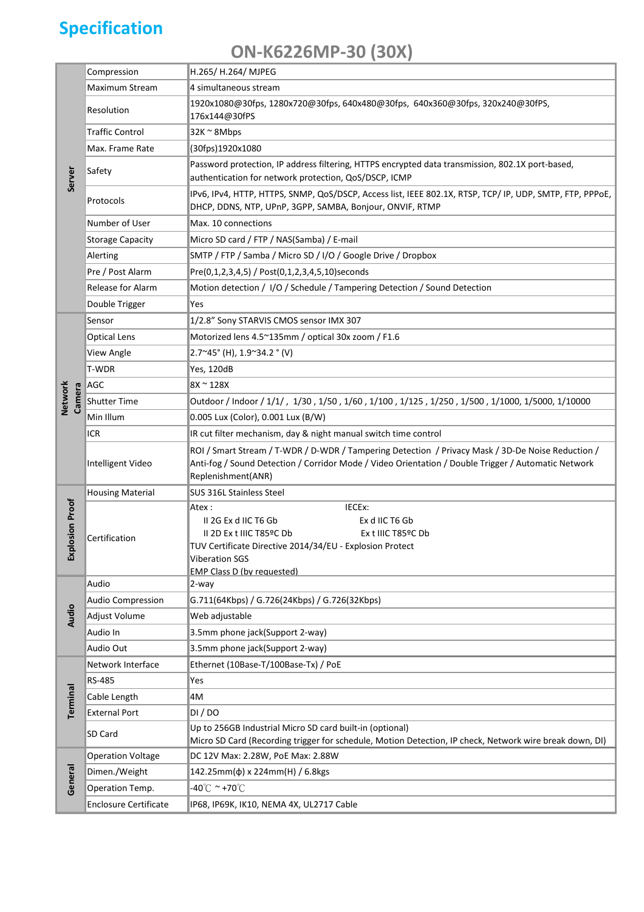# **Specification**

## **ON-K6226MP-30 (30X)**

|                    | Compression                  | H.265/ H.264/ MJPEG                                                                                                                                                                                                            |  |  |
|--------------------|------------------------------|--------------------------------------------------------------------------------------------------------------------------------------------------------------------------------------------------------------------------------|--|--|
|                    | Maximum Stream               | 4 simultaneous stream                                                                                                                                                                                                          |  |  |
|                    | Resolution                   | 1920x1080@30fps, 1280x720@30fps, 640x480@30fps, 640x360@30fps, 320x240@30fPS,<br>176x144@30fPS                                                                                                                                 |  |  |
|                    | <b>Traffic Control</b>       | 32K~8Mbps                                                                                                                                                                                                                      |  |  |
|                    | Max. Frame Rate              | (30fps)1920x1080                                                                                                                                                                                                               |  |  |
| Server             | Safety                       | Password protection, IP address filtering, HTTPS encrypted data transmission, 802.1X port-based,<br>authentication for network protection, QoS/DSCP, ICMP                                                                      |  |  |
|                    | Protocols                    | IPv6, IPv4, HTTP, HTTPS, SNMP, QoS/DSCP, Access list, IEEE 802.1X, RTSP, TCP/ IP, UDP, SMTP, FTP, PPPoE,<br>DHCP, DDNS, NTP, UPnP, 3GPP, SAMBA, Bonjour, ONVIF, RTMP                                                           |  |  |
|                    | Number of User               | Max. 10 connections                                                                                                                                                                                                            |  |  |
|                    | <b>Storage Capacity</b>      | Micro SD card / FTP / NAS(Samba) / E-mail                                                                                                                                                                                      |  |  |
|                    | Alerting                     | SMTP / FTP / Samba / Micro SD / I/O / Google Drive / Dropbox                                                                                                                                                                   |  |  |
|                    | Pre / Post Alarm             | Pre(0,1,2,3,4,5) / Post(0,1,2,3,4,5,10) seconds                                                                                                                                                                                |  |  |
|                    | Release for Alarm            | Motion detection / I/O / Schedule / Tampering Detection / Sound Detection                                                                                                                                                      |  |  |
|                    | Double Trigger               | Yes                                                                                                                                                                                                                            |  |  |
| Network<br>Camera  | Sensor                       | 1/2.8" Sony STARVIS CMOS sensor IMX 307                                                                                                                                                                                        |  |  |
|                    | <b>Optical Lens</b>          | Motorized lens 4.5~135mm / optical 30x zoom / F1.6                                                                                                                                                                             |  |  |
|                    | View Angle                   | 2.7~45° (H), 1.9~34.2 ° (V)                                                                                                                                                                                                    |  |  |
|                    | T-WDR                        | <b>Yes, 120dB</b>                                                                                                                                                                                                              |  |  |
|                    | AGC                          | 8X~128X                                                                                                                                                                                                                        |  |  |
|                    | Shutter Time                 | Outdoor / Indoor / 1/1/, 1/30, 1/50, 1/60, 1/100, 1/125, 1/250, 1/500, 1/1000, 1/5000, 1/10000                                                                                                                                 |  |  |
|                    | Min Illum                    | 0.005 Lux (Color), 0.001 Lux (B/W)                                                                                                                                                                                             |  |  |
|                    | ICR                          | IR cut filter mechanism, day & night manual switch time control                                                                                                                                                                |  |  |
|                    | Intelligent Video            | ROI / Smart Stream / T-WDR / D-WDR / Tampering Detection / Privacy Mask / 3D-De Noise Reduction /<br>Anti-fog / Sound Detection / Corridor Mode / Video Orientation / Double Trigger / Automatic Network<br>Replenishment(ANR) |  |  |
| plosion Proof<br>찣 | <b>Housing Material</b>      | SUS 316L Stainless Steel                                                                                                                                                                                                       |  |  |
|                    | Certification                | IECEx:<br>Atex :<br>II 2G Ex d IIC T6 Gb<br>Ex d IIC T6 Gb<br>II 2D Ex t IIIC T85ºC Db<br>Ex t IIIC T85ºC Db<br>TUV Certificate Directive 2014/34/EU - Explosion Protect<br><b>Viberation SGS</b>                              |  |  |
|                    | Audio                        | <b>EMP Class D (by requested)</b><br>2-way                                                                                                                                                                                     |  |  |
|                    | <b>Audio Compression</b>     | G.711(64Kbps) / G.726(24Kbps) / G.726(32Kbps)                                                                                                                                                                                  |  |  |
| <b>Audio</b>       | Adjust Volume                | Web adjustable                                                                                                                                                                                                                 |  |  |
|                    | Audio In                     | 3.5mm phone jack(Support 2-way)                                                                                                                                                                                                |  |  |
|                    | Audio Out                    | 3.5mm phone jack(Support 2-way)                                                                                                                                                                                                |  |  |
|                    | Network Interface            | Ethernet (10Base-T/100Base-Tx) / PoE                                                                                                                                                                                           |  |  |
| Terminal           | RS-485                       | Yes                                                                                                                                                                                                                            |  |  |
|                    | Cable Length                 | 4M                                                                                                                                                                                                                             |  |  |
|                    | <b>External Port</b>         | DI/DO                                                                                                                                                                                                                          |  |  |
|                    |                              | Up to 256GB Industrial Micro SD card built-in (optional)                                                                                                                                                                       |  |  |
|                    | SD Card                      | Micro SD Card (Recording trigger for schedule, Motion Detection, IP check, Network wire break down, DI)                                                                                                                        |  |  |
|                    | <b>Operation Voltage</b>     | DC 12V Max: 2.28W, PoE Max: 2.88W                                                                                                                                                                                              |  |  |
|                    | Dimen./Weight                | 142.25mm(φ) x 224mm(H) / 6.8kgs                                                                                                                                                                                                |  |  |
| General            | Operation Temp.              | -40℃ <sup>~</sup> +70℃                                                                                                                                                                                                         |  |  |
|                    | <b>Enclosure Certificate</b> | IP68, IP69K, IK10, NEMA 4X, UL2717 Cable                                                                                                                                                                                       |  |  |